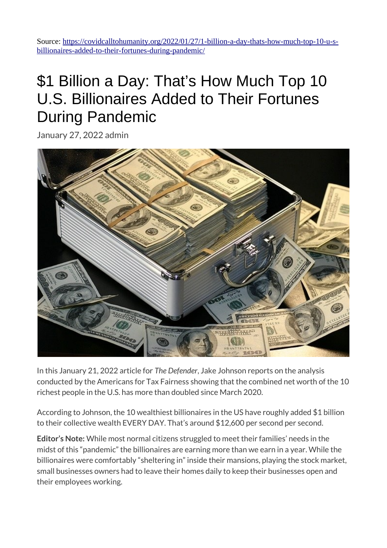Source: [https://covidcalltohumanity.org/2022/01/27/1-billion-a-day-thats-how-much-top-10-u-s](https://covidcalltohumanity.org/2022/01/27/1-billion-a-day-thats-how-much-top-10-u-s-billionaires-added-to-their-fortunes-during-pandemic/)[billionaires-added-to-their-fortunes-during-pandemic/](https://covidcalltohumanity.org/2022/01/27/1-billion-a-day-thats-how-much-top-10-u-s-billionaires-added-to-their-fortunes-during-pandemic/)

## \$1 Billion a Day: That's How Much Top 10 U.S. Billionaires Added to Their Fortunes During Pandemic

January 27, 2022 [admin](https://covidcalltohumanity.org/author/admin/)



In this January 21, 2022 article for *The Defender*, Jake Johnson reports on the analysis conducted by the Americans for Tax Fairness showing that the combined net worth of the 10 richest people in the U.S. has more than doubled since March 2020.

According to Johnson, the 10 wealthiest billionaires in the US have roughly added \$1 billion to their collective wealth EVERY DAY. That's around \$12,600 per second per second.

**Editor's Note:** While most normal citizens struggled to meet their families' needs in the midst of this "pandemic" the billionaires are earning more than we earn in a year. While the billionaires were comfortably "sheltering in" inside their mansions, playing the stock market, small businesses owners had to leave their homes daily to keep their businesses open and their employees working.